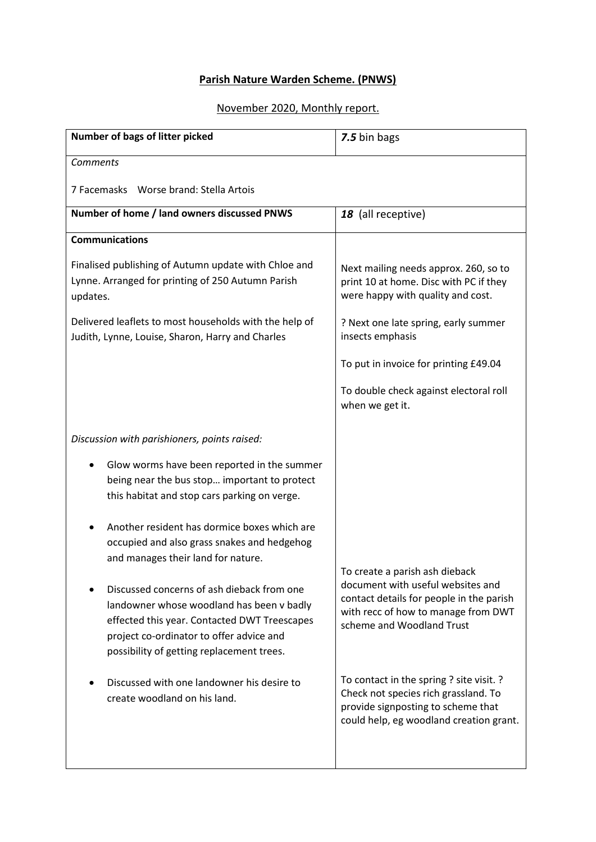## **Parish Nature Warden Scheme. (PNWS)**

## November 2020, Monthly report.

| Number of bags of litter picked                                                                                                                                                                                                  | 7.5 bin bags                                                                                                                                                                        |
|----------------------------------------------------------------------------------------------------------------------------------------------------------------------------------------------------------------------------------|-------------------------------------------------------------------------------------------------------------------------------------------------------------------------------------|
| <b>Comments</b>                                                                                                                                                                                                                  |                                                                                                                                                                                     |
| 7 Facemasks Worse brand: Stella Artois                                                                                                                                                                                           |                                                                                                                                                                                     |
| Number of home / land owners discussed PNWS                                                                                                                                                                                      | 18 (all receptive)                                                                                                                                                                  |
| <b>Communications</b>                                                                                                                                                                                                            |                                                                                                                                                                                     |
| Finalised publishing of Autumn update with Chloe and<br>Lynne. Arranged for printing of 250 Autumn Parish<br>updates.                                                                                                            | Next mailing needs approx. 260, so to<br>print 10 at home. Disc with PC if they<br>were happy with quality and cost.                                                                |
| Delivered leaflets to most households with the help of<br>Judith, Lynne, Louise, Sharon, Harry and Charles                                                                                                                       | ? Next one late spring, early summer<br>insects emphasis                                                                                                                            |
|                                                                                                                                                                                                                                  | To put in invoice for printing £49.04                                                                                                                                               |
|                                                                                                                                                                                                                                  | To double check against electoral roll<br>when we get it.                                                                                                                           |
| Discussion with parishioners, points raised:                                                                                                                                                                                     |                                                                                                                                                                                     |
| Glow worms have been reported in the summer<br>being near the bus stop important to protect<br>this habitat and stop cars parking on verge.                                                                                      |                                                                                                                                                                                     |
| Another resident has dormice boxes which are<br>occupied and also grass snakes and hedgehog<br>and manages their land for nature.                                                                                                |                                                                                                                                                                                     |
| Discussed concerns of ash dieback from one<br>landowner whose woodland has been v badly<br>effected this year. Contacted DWT Treescapes<br>project co-ordinator to offer advice and<br>possibility of getting replacement trees. | To create a parish ash dieback<br>document with useful websites and<br>contact details for people in the parish<br>with recc of how to manage from DWT<br>scheme and Woodland Trust |
| Discussed with one landowner his desire to<br>create woodland on his land.                                                                                                                                                       | To contact in the spring ? site visit. ?<br>Check not species rich grassland. To<br>provide signposting to scheme that<br>could help, eg woodland creation grant.                   |